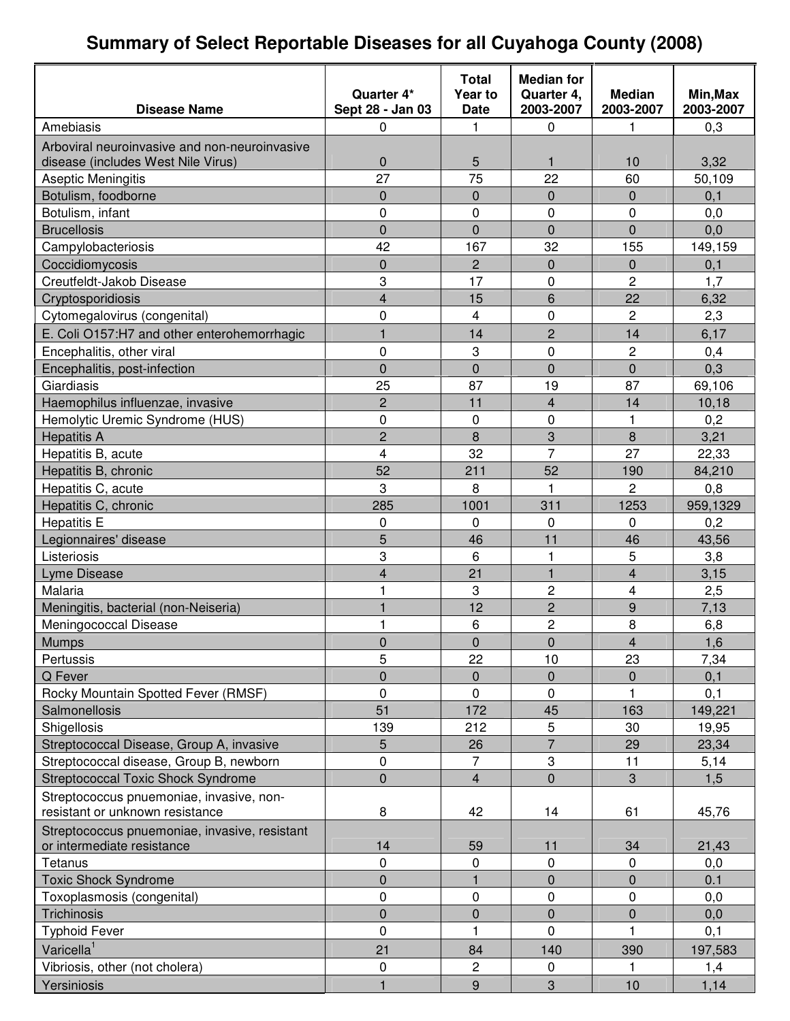### **Summary of Select Reportable Diseases for all Cuyahoga County (2008)**

|                                               |                                | <b>Total</b>           | <b>Median for</b>       |                            |                       |
|-----------------------------------------------|--------------------------------|------------------------|-------------------------|----------------------------|-----------------------|
| <b>Disease Name</b>                           | Quarter 4*<br>Sept 28 - Jan 03 | Year to<br><b>Date</b> | Quarter 4,<br>2003-2007 | <b>Median</b><br>2003-2007 | Min, Max<br>2003-2007 |
| Amebiasis                                     | 0                              | 1                      | 0                       | 1                          | 0,3                   |
| Arboviral neuroinvasive and non-neuroinvasive |                                |                        |                         |                            |                       |
| disease (includes West Nile Virus)            | $\mathbf{0}$                   | 5                      | 1                       | 10                         | 3,32                  |
| Aseptic Meningitis                            | 27                             | 75                     | 22                      | 60                         | 50,109                |
| Botulism, foodborne                           | $\overline{0}$                 | 0                      | $\mathbf 0$             | 0                          | 0,1                   |
| Botulism, infant                              | 0                              | 0                      | $\mathbf 0$             | 0                          | 0,0                   |
| <b>Brucellosis</b>                            | $\overline{0}$                 | $\overline{0}$         | $\overline{0}$          | $\overline{0}$             | 0,0                   |
| Campylobacteriosis                            | 42                             | 167                    | 32                      | 155                        | 149,159               |
| Coccidiomycosis                               | 0                              | $\overline{c}$         | $\overline{0}$          | $\mathbf 0$                | 0,1                   |
| Creutfeldt-Jakob Disease                      | 3                              | 17                     | 0                       | $\overline{c}$             | 1,7                   |
| Cryptosporidiosis                             | $\overline{4}$                 | 15                     | 6                       | 22                         | 6,32                  |
| Cytomegalovirus (congenital)                  | 0                              | 4                      | 0                       | $\overline{c}$             | 2,3                   |
| E. Coli O157:H7 and other enterohemorrhagic   | $\mathbf{1}$                   | 14                     | $\overline{2}$          | 14                         | 6,17                  |
| Encephalitis, other viral                     | 0                              | 3                      | $\mathbf 0$             | 2                          | 0,4                   |
| Encephalitis, post-infection                  | $\overline{0}$                 | $\overline{0}$         | $\overline{0}$          | $\mathbf 0$                | 0,3                   |
| Giardiasis                                    | 25                             | 87                     | 19                      | 87                         | 69,106                |
| Haemophilus influenzae, invasive              | $\overline{c}$                 | 11                     | 4                       | 14                         | 10,18                 |
| Hemolytic Uremic Syndrome (HUS)               | 0                              | 0                      | 0                       | 1                          | 0,2                   |
| <b>Hepatitis A</b>                            | $\overline{c}$                 | 8                      | 3                       | 8                          | 3,21                  |
| Hepatitis B, acute                            | 4                              | 32                     | $\overline{7}$          | 27                         | 22,33                 |
| Hepatitis B, chronic                          | 52                             | 211                    | 52                      | 190                        | 84,210                |
| Hepatitis C, acute                            | 3                              | 8                      | $\mathbf 1$             | $\overline{2}$             | 0,8                   |
| Hepatitis C, chronic                          | 285                            | 1001                   | 311                     | 1253                       | 959,1329              |
| <b>Hepatitis E</b>                            | 0                              | 0                      | 0                       | 0                          | 0,2                   |
| Legionnaires' disease                         | 5                              | 46                     | 11                      | 46                         | 43,56                 |
| Listeriosis                                   | 3                              | 6                      | $\mathbf{1}$            | 5                          | 3,8                   |
| Lyme Disease                                  | 4                              | 21                     | $\mathbf{1}$            | $\overline{\mathbf{4}}$    | 3,15                  |
| Malaria                                       | 1                              | 3                      | $\overline{2}$          | 4                          | 2,5                   |
| Meningitis, bacterial (non-Neiseria)          | 1                              | 12                     | $\overline{c}$          | $\boldsymbol{9}$           | 7,13                  |
| Meningococcal Disease                         | 1                              | 6                      | $\overline{c}$          | 8                          | 6,8                   |
| <b>Mumps</b>                                  | 0                              | $\mathbf 0$            | 0                       | $\mathbf{A}$               | 1,6                   |
| Pertussis                                     | 5                              | 22                     | 10                      | 23                         | 7,34                  |
| Q Fever                                       | 0                              | 0                      | 0                       | 0                          | 0,1                   |
| Rocky Mountain Spotted Fever (RMSF)           | 0                              | 0                      | 0                       |                            | 0,1                   |
| Salmonellosis                                 | 51                             | 172                    | 45                      | 163                        | 149,221               |
| Shigellosis                                   | 139                            | 212                    | 5                       | 30                         | 19,95                 |
| Streptococcal Disease, Group A, invasive      | 5                              | 26                     | $\overline{7}$          | 29                         | 23,34                 |
| Streptococcal disease, Group B, newborn       | 0                              | 7                      | 3                       | 11                         | 5,14                  |
| <b>Streptococcal Toxic Shock Syndrome</b>     | 0                              | 4                      | $\overline{0}$          | 3                          | 1,5                   |
| Streptococcus pnuemoniae, invasive, non-      |                                |                        |                         |                            |                       |
| resistant or unknown resistance               | 8                              | 42                     | 14                      | 61                         | 45,76                 |
| Streptococcus pnuemoniae, invasive, resistant |                                |                        |                         |                            |                       |
| or intermediate resistance                    | 14                             | 59                     | 11                      | 34                         | 21,43                 |
| Tetanus                                       | 0                              | 0                      | $\mathbf 0$             | $\pmb{0}$                  | 0,0                   |
| <b>Toxic Shock Syndrome</b>                   | 0                              |                        | 0                       | $\pmb{0}$                  | 0.1                   |
| Toxoplasmosis (congenital)                    | 0                              | 0                      | 0                       | 0                          | 0,0                   |
| Trichinosis                                   | 0                              | $\overline{0}$         | 0                       | 0                          | 0,0                   |
| <b>Typhoid Fever</b>                          | 0                              | $\mathbf{1}$           | 0                       | 1                          | 0,1                   |
| Varicella <sup>1</sup>                        | 21                             | 84                     | 140                     | 390                        | 197,583               |
| Vibriosis, other (not cholera)                | $\pmb{0}$                      | $\overline{c}$         | $\mathbf 0$             | 1                          | 1,4                   |
| Yersiniosis                                   | 1                              | 9                      | 3                       | 10                         | 1,14                  |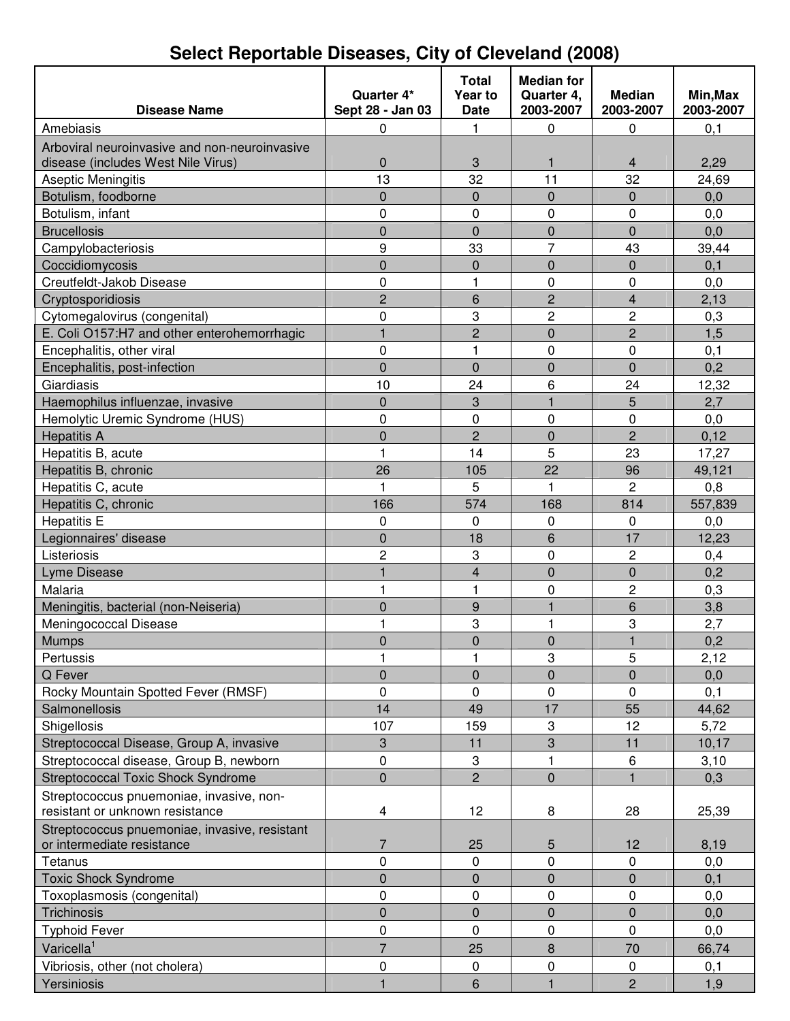| <b>Disease Name</b>                                                                 | Quarter 4*<br>Sept 28 - Jan 03 | <b>Total</b><br>Year to<br><b>Date</b> | <b>Median for</b><br>Quarter 4,<br>2003-2007 | <b>Median</b><br>2003-2007 | Min, Max<br>2003-2007 |
|-------------------------------------------------------------------------------------|--------------------------------|----------------------------------------|----------------------------------------------|----------------------------|-----------------------|
|                                                                                     |                                |                                        |                                              |                            |                       |
| Amebiasis                                                                           | $\pmb{0}$                      | 1                                      | 0                                            | 0                          | 0,1                   |
| Arboviral neuroinvasive and non-neuroinvasive<br>disease (includes West Nile Virus) | $\pmb{0}$                      | 3                                      | 1                                            | $\overline{4}$             | 2,29                  |
| Aseptic Meningitis                                                                  | 13                             | 32                                     | 11                                           | 32                         | 24,69                 |
| Botulism, foodborne                                                                 | $\pmb{0}$                      | $\overline{0}$                         | $\mathbf 0$                                  | $\mathbf 0$                | 0,0                   |
| Botulism, infant                                                                    | $\mathbf 0$                    | 0                                      | $\mathbf 0$                                  | 0                          | 0,0                   |
| <b>Brucellosis</b>                                                                  | $\mathbf 0$                    | $\overline{0}$                         | $\mathbf 0$                                  | $\overline{0}$             | 0,0                   |
| Campylobacteriosis                                                                  | 9                              | 33                                     | $\overline{7}$                               | 43                         | 39,44                 |
| Coccidiomycosis                                                                     | $\mathbf 0$                    | $\overline{0}$                         | $\mathbf 0$                                  | $\mathbf 0$                | 0,1                   |
| Creutfeldt-Jakob Disease                                                            | $\pmb{0}$                      | 1                                      | 0                                            | 0                          | 0,0                   |
| Cryptosporidiosis                                                                   | $\overline{c}$                 | 6                                      | $\overline{c}$                               | $\overline{\mathbf{4}}$    | 2,13                  |
| Cytomegalovirus (congenital)                                                        | $\pmb{0}$                      | 3                                      | $\overline{2}$                               | $\overline{c}$             | 0,3                   |
| E. Coli O157:H7 and other enterohemorrhagic                                         | $\mathbf{1}$                   | $\overline{c}$                         | $\mathbf 0$                                  | $\overline{c}$             | 1,5                   |
| Encephalitis, other viral                                                           | $\mathbf 0$                    | 1                                      | $\mathbf 0$                                  | 0                          | 0,1                   |
| Encephalitis, post-infection                                                        | $\mathbf 0$                    | $\overline{0}$                         | $\mathbf 0$                                  | $\overline{0}$             | 0,2                   |
| Giardiasis                                                                          | 10                             | 24                                     | 6                                            | 24                         | 12,32                 |
| Haemophilus influenzae, invasive                                                    | $\pmb{0}$                      | 3                                      | $\mathbf{1}$                                 | 5                          | 2,7                   |
| Hemolytic Uremic Syndrome (HUS)                                                     | $\mathbf 0$                    | 0                                      | $\mathbf 0$                                  | 0                          | 0,0                   |
| <b>Hepatitis A</b>                                                                  | $\overline{0}$                 | $\overline{2}$                         | $\mathbf 0$                                  | $\overline{2}$             | 0,12                  |
| Hepatitis B, acute                                                                  | $\mathbf{1}$                   | 14                                     | 5                                            | 23                         | 17,27                 |
| Hepatitis B, chronic                                                                | 26                             | 105                                    | 22                                           | 96                         | 49,121                |
| Hepatitis C, acute                                                                  | 1                              | 5                                      | $\mathbf{1}$                                 | $\overline{2}$             | 0,8                   |
| Hepatitis C, chronic                                                                | 166                            | 574                                    | 168                                          | 814                        | 557,839               |
| <b>Hepatitis E</b>                                                                  | 0                              | $\Omega$                               | 0                                            | 0                          | 0,0                   |
| Legionnaires' disease                                                               | $\pmb{0}$                      | 18                                     | 6                                            | 17                         | 12,23                 |
| Listeriosis                                                                         | $\overline{c}$                 | 3                                      | $\mathbf 0$                                  | $\overline{c}$             | 0,4                   |
| Lyme Disease                                                                        | $\mathbf{1}$                   | $\overline{\mathbf{4}}$                | $\mathbf 0$                                  | $\mathbf 0$                | 0,2                   |
| Malaria                                                                             | 1                              | $\mathbf{1}$                           | 0                                            | $\overline{c}$             | 0,3                   |
| Meningitis, bacterial (non-Neiseria)                                                | $\pmb{0}$                      | 9                                      | $\overline{1}$                               | 6                          | 3,8                   |
| Meningococcal Disease                                                               | 1                              | 3                                      | 1                                            | 3                          | 2,7                   |
| <b>Mumps</b>                                                                        | $\overline{0}$                 | $\overline{0}$                         | $\mathbf 0$                                  | $\mathbf{1}$               | 0,2                   |
| Pertussis                                                                           | 1                              | 1                                      | 3                                            | 5                          | 2,12                  |
| Q Fever                                                                             | $\mathbf 0$                    | $\overline{0}$                         | $\mathbf 0$                                  | $\overline{0}$             | 0,0                   |
| Rocky Mountain Spotted Fever (RMSF)                                                 | $\pmb{0}$                      | 0                                      | $\mathbf 0$                                  | 0                          | 0,1                   |
| Salmonellosis                                                                       | 14                             | 49                                     | 17                                           | 55                         | 44,62                 |
| Shigellosis                                                                         | 107                            | 159                                    | 3                                            | 12                         | 5,72                  |
| Streptococcal Disease, Group A, invasive                                            | 3                              | 11                                     | 3                                            | 11                         | 10,17                 |
| Streptococcal disease, Group B, newborn                                             | $\pmb{0}$                      | 3                                      | 1                                            | 6                          | 3,10                  |
| <b>Streptococcal Toxic Shock Syndrome</b>                                           | $\mathbf 0$                    | $\overline{2}$                         | $\mathbf 0$                                  | $\mathbf{1}$               | 0,3                   |
| Streptococcus pnuemoniae, invasive, non-                                            |                                |                                        |                                              |                            |                       |
| resistant or unknown resistance                                                     | 4                              | 12                                     | 8                                            | 28                         | 25,39                 |
| Streptococcus pnuemoniae, invasive, resistant                                       |                                |                                        |                                              |                            |                       |
| or intermediate resistance                                                          | 7                              | 25                                     | 5                                            | 12                         | 8,19                  |
| Tetanus                                                                             | $\mathbf 0$                    | 0                                      | $\mathbf 0$                                  | 0                          | 0,0                   |
| <b>Toxic Shock Syndrome</b>                                                         | $\pmb{0}$                      | 0                                      | $\pmb{0}$                                    | 0                          | 0,1                   |
| Toxoplasmosis (congenital)                                                          | $\pmb{0}$                      | 0                                      | $\pmb{0}$                                    | $\pmb{0}$                  | 0,0                   |
| Trichinosis                                                                         | $\pmb{0}$                      | $\pmb{0}$                              | $\mathbf 0$                                  | $\mathbf 0$                | 0,0                   |
| <b>Typhoid Fever</b>                                                                | $\mathbf 0$                    | $\mathbf 0$                            | 0                                            | 0                          | 0,0                   |
| Varicella <sup>1</sup>                                                              | $\overline{7}$                 | 25                                     | $\bf 8$                                      | 70                         | 66,74                 |
| Vibriosis, other (not cholera)                                                      | $\pmb{0}$                      | 0                                      | $\pmb{0}$                                    | 0                          | 0,1                   |
| Yersiniosis                                                                         | $\mathbf{1}$                   | 6                                      | $\mathbf{1}$                                 | $\overline{2}$             | 1,9                   |

# **Select Reportable Diseases, City of Cleveland (2008)**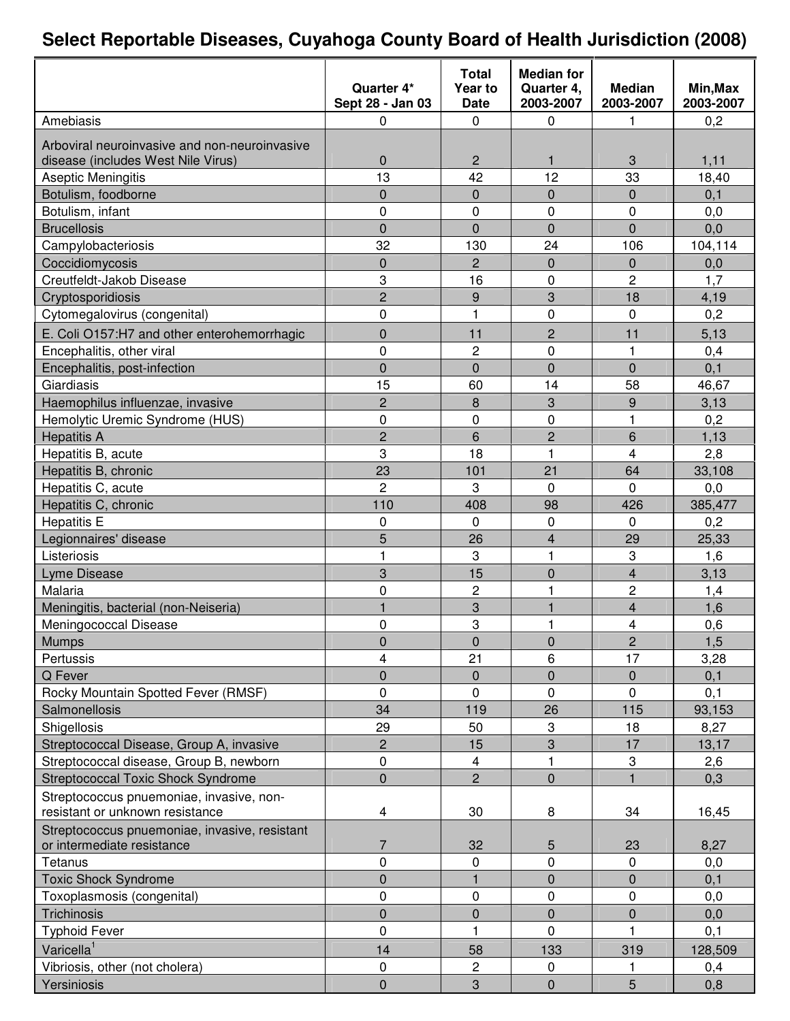## **Select Reportable Diseases, Cuyahoga County Board of Health Jurisdiction (2008)**

|                                               |                  | Total          | <b>Median for</b> |                         |           |
|-----------------------------------------------|------------------|----------------|-------------------|-------------------------|-----------|
|                                               | Quarter 4*       | Year to        | Quarter 4,        | <b>Median</b>           | Min, Max  |
|                                               | Sept 28 - Jan 03 | <b>Date</b>    | 2003-2007         | 2003-2007               | 2003-2007 |
| Amebiasis                                     | 0                | 0              | $\mathbf 0$       | 1                       | 0,2       |
| Arboviral neuroinvasive and non-neuroinvasive |                  |                |                   |                         |           |
| disease (includes West Nile Virus)            | 0                | $\overline{c}$ | $\mathbf{1}$      | 3                       | 1,11      |
| <b>Aseptic Meningitis</b>                     | 13               | 42             | 12                | 33                      | 18,40     |
| Botulism, foodborne                           | $\overline{0}$   | 0              | $\overline{0}$    | $\mathbf 0$             | 0,1       |
| Botulism, infant                              | 0                | 0              | 0                 | 0                       | 0,0       |
| <b>Brucellosis</b>                            | $\overline{0}$   | $\overline{0}$ | $\overline{0}$    | $\overline{0}$          | 0,0       |
| Campylobacteriosis                            | 32               | 130            | 24                | 106                     | 104,114   |
| Coccidiomycosis                               | $\mathbf 0$      | $\overline{c}$ | 0                 | $\mathbf 0$             | 0,0       |
| Creutfeldt-Jakob Disease                      | 3                | 16             | 0                 | $\overline{c}$          | 1,7       |
| Cryptosporidiosis                             | $\overline{2}$   | 9              | 3                 | 18                      | 4,19      |
| Cytomegalovirus (congenital)                  | 0                | $\mathbf{1}$   | 0                 | $\mathbf 0$             | 0,2       |
| E. Coli O157:H7 and other enterohemorrhagic   | $\overline{0}$   | 11             | $\overline{2}$    | 11                      | 5,13      |
| Encephalitis, other viral                     | 0                | 2              | 0                 | 1                       | 0,4       |
| Encephalitis, post-infection                  | $\overline{0}$   | $\overline{0}$ | $\overline{0}$    | $\mathbf 0$             | 0,1       |
| Giardiasis                                    | 15               | 60             | 14                | 58                      | 46,67     |
| Haemophilus influenzae, invasive              | $\overline{c}$   | 8              | 3                 | 9                       | 3,13      |
| Hemolytic Uremic Syndrome (HUS)               | 0                | 0              | 0                 | 1                       | 0,2       |
| <b>Hepatitis A</b>                            | $\overline{2}$   | 6              | $\overline{c}$    | 6                       | 1,13      |
| Hepatitis B, acute                            | 3                | 18             | 1                 | $\overline{4}$          | 2,8       |
| Hepatitis B, chronic                          | 23               | 101            | 21                | 64                      | 33,108    |
| Hepatitis C, acute                            | $\overline{c}$   | 3              | $\Omega$          | $\Omega$                | 0,0       |
| Hepatitis C, chronic                          | 110              | 408            | 98                | 426                     | 385,477   |
| <b>Hepatitis E</b>                            | 0                | 0              | 0                 | $\mathbf 0$             | 0,2       |
| Legionnaires' disease                         | 5                | 26             | 4                 | 29                      | 25,33     |
| Listeriosis                                   | 1                | 3              | $\mathbf{1}$      | 3                       | 1,6       |
| Lyme Disease                                  | 3                | 15             | $\overline{0}$    | $\overline{\mathbf{4}}$ | 3,13      |
| Malaria                                       | 0                | $\overline{2}$ | 1                 | 2                       | 1,4       |
| Meningitis, bacterial (non-Neiseria)          | 1                | 3              | 1                 | $\overline{\mathbf{4}}$ | 1,6       |
| Meningococcal Disease                         | 0                | 3              | 1                 | 4                       | 0,6       |
| <b>Mumps</b>                                  | $\mathbf 0$      | 0              | 0                 | 2                       | 1,5       |
| Pertussis                                     | 4                | 21             | 6                 | 17                      | 3,28      |
| Q Fever                                       | $\overline{0}$   | 0              | $\overline{0}$    | $\mathbf 0$             | 0,1       |
| Rocky Mountain Spotted Fever (RMSF)           | 0                | 0              | 0                 | $\Omega$                | 0,1       |
| Salmonellosis                                 | 34               | 119            | 26                | 115                     | 93,153    |
| Shigellosis                                   | 29               | 50             | 3                 | 18                      | 8,27      |
| Streptococcal Disease, Group A, invasive      | $\overline{c}$   | 15             | 3                 | 17                      | 13,17     |
| Streptococcal disease, Group B, newborn       | $\pmb{0}$        | 4              | $\mathbf{1}$      | 3                       | 2,6       |
| <b>Streptococcal Toxic Shock Syndrome</b>     | $\mathbf 0$      | $\overline{2}$ | $\overline{0}$    | $\mathbf{1}$            | 0,3       |
| Streptococcus pnuemoniae, invasive, non-      |                  |                |                   |                         |           |
| resistant or unknown resistance               | $\overline{4}$   | 30             | 8                 | 34                      | 16,45     |
| Streptococcus pnuemoniae, invasive, resistant |                  |                |                   |                         |           |
| or intermediate resistance                    | $\overline{7}$   | 32             | 5                 | 23                      | 8,27      |
| Tetanus                                       | 0                | 0              | 0                 | $\pmb{0}$               | 0,0       |
| <b>Toxic Shock Syndrome</b>                   | $\overline{0}$   |                | $\overline{0}$    | $\mathbf 0$             | 0,1       |
| Toxoplasmosis (congenital)                    | 0                | 0              | $\mathbf 0$       | $\pmb{0}$               | 0,0       |
| Trichinosis                                   | $\overline{0}$   | 0              | $\overline{0}$    | 0                       | 0,0       |
| <b>Typhoid Fever</b>                          | 0                | $\mathbf{1}$   | 0                 |                         | 0,1       |
| Varicella <sup>1</sup>                        | 14               | 58             | 133               | 319                     | 128,509   |
| Vibriosis, other (not cholera)                | $\pmb{0}$        | 2              | 0                 | 1                       | 0,4       |
| Yersiniosis                                   | $\overline{0}$   | 3              | $\overline{0}$    | 5                       | 0,8       |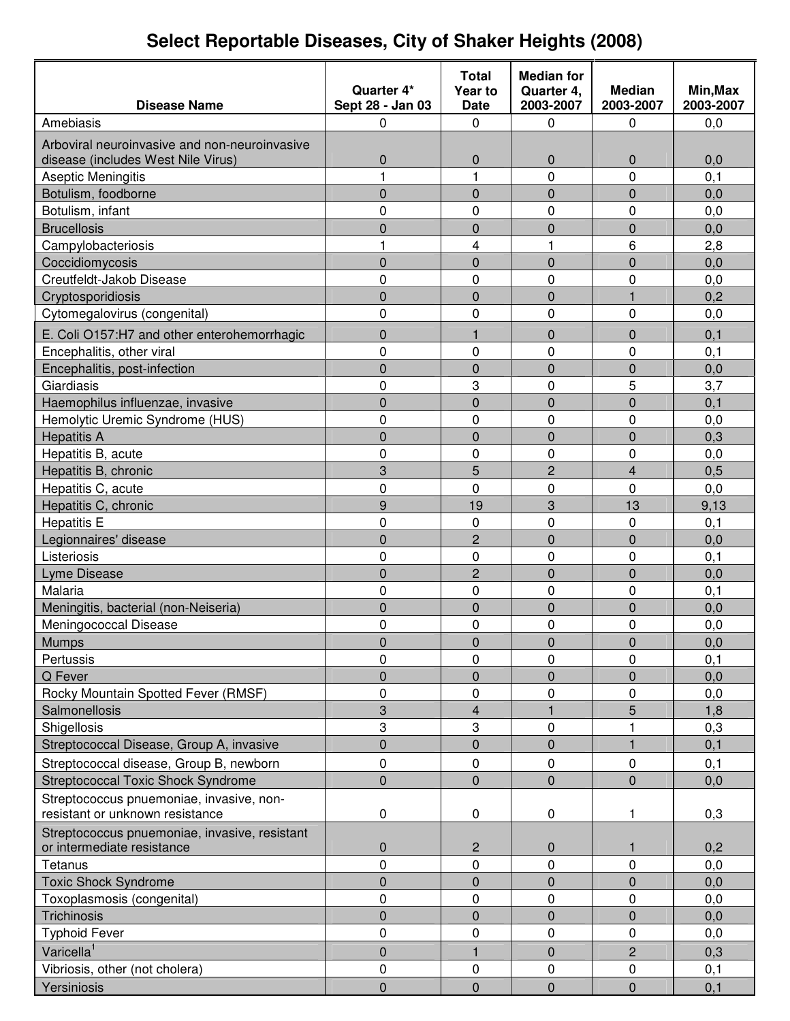# **Select Reportable Diseases, City of Shaker Heights (2008)**

|                                               |                  | <b>Total</b>   | <b>Median for</b> |                |           |
|-----------------------------------------------|------------------|----------------|-------------------|----------------|-----------|
|                                               | Quarter 4*       | Year to        | Quarter 4,        | <b>Median</b>  | Min, Max  |
| <b>Disease Name</b>                           | Sept 28 - Jan 03 | Date           | 2003-2007         | 2003-2007      | 2003-2007 |
| Amebiasis                                     | 0                | 0              | 0                 | 0              | 0,0       |
| Arboviral neuroinvasive and non-neuroinvasive |                  |                |                   |                |           |
| disease (includes West Nile Virus)            | $\mathbf 0$      | 0              | $\mathbf 0$       | 0              | 0,0       |
| Aseptic Meningitis                            | 1                | 1              | $\overline{0}$    | 0              | 0, 1      |
| Botulism, foodborne                           | 0                | 0              | $\mathbf 0$       | 0              | 0,0       |
| Botulism, infant                              | 0                | 0              | 0                 | 0              | 0,0       |
| <b>Brucellosis</b>                            | $\overline{0}$   | $\overline{0}$ | $\overline{0}$    | 0              | 0,0       |
| Campylobacteriosis                            | 1                | 4              | 1                 | 6              | 2,8       |
| Coccidiomycosis                               | $\overline{0}$   | $\overline{0}$ | $\overline{0}$    | $\overline{0}$ | 0,0       |
| Creutfeldt-Jakob Disease                      | 0                | 0              | $\mathbf 0$       | 0              | 0,0       |
| Cryptosporidiosis                             | $\overline{0}$   | 0              | $\mathbf 0$       | $\mathbf{1}$   | 0,2       |
| Cytomegalovirus (congenital)                  | 0                | 0              | $\mathbf 0$       | 0              | 0,0       |
| E. Coli O157:H7 and other enterohemorrhagic   | 0                | 1              | $\mathbf 0$       | $\mathbf 0$    | 0,1       |
| Encephalitis, other viral                     | 0                | 0              | 0                 | 0              | 0,1       |
| Encephalitis, post-infection                  | $\overline{0}$   | $\overline{0}$ | $\overline{0}$    | 0              | 0,0       |
| Giardiasis                                    | 0                | 3              | $\mathbf 0$       | 5              | 3,7       |
| Haemophilus influenzae, invasive              | $\overline{0}$   | $\overline{0}$ | $\overline{0}$    | $\overline{0}$ | 0,1       |
| Hemolytic Uremic Syndrome (HUS)               | 0                | 0              | $\mathbf 0$       | 0              | 0,0       |
| <b>Hepatitis A</b>                            | $\overline{0}$   | $\overline{0}$ | $\overline{0}$    | $\overline{0}$ | 0,3       |
| Hepatitis B, acute                            | 0                | 0              | $\mathbf 0$       | 0              | 0,0       |
| Hepatitis B, chronic                          | 3                | 5              | $\overline{c}$    | $\overline{4}$ | 0,5       |
| Hepatitis C, acute                            | 0                | 0              | $\mathbf 0$       | 0              | 0,0       |
| Hepatitis C, chronic                          | 9                | 19             | 3                 | 13             | 9,13      |
| <b>Hepatitis E</b>                            | 0                | 0              | $\mathbf 0$       | 0              | 0,1       |
| Legionnaires' disease                         | 0                | $\overline{2}$ | $\overline{0}$    | $\overline{0}$ | 0,0       |
| Listeriosis                                   | 0                | 0              | $\mathbf{0}$      | 0              | 0, 1      |
| Lyme Disease                                  | $\overline{0}$   | $\overline{2}$ | $\overline{0}$    | $\overline{0}$ | 0,0       |
| Malaria                                       | 0                | 0              | $\mathbf 0$       | 0              | 0, 1      |
| Meningitis, bacterial (non-Neiseria)          | $\overline{0}$   | $\overline{0}$ | $\overline{0}$    | $\overline{0}$ | 0,0       |
| Meningococcal Disease                         | 0                | 0              | 0                 | 0              | 0,0       |
| <b>Mumps</b>                                  | 0                | 0              | 0                 | 0              | 0,0       |
| Pertussis                                     | 0                | 0              | 0                 | 0              | 0, 1      |
| Q Fever                                       | 0                | $\overline{0}$ | $\mathbf 0$       | $\overline{0}$ | 0,0       |
| Rocky Mountain Spotted Fever (RMSF)           | 0                | 0              | $\mathbf 0$       | 0              | 0,0       |
| <b>Salmonellosis</b>                          | 3                | 4              | $\mathbf{1}$      | 5              | 1,8       |
| Shigellosis                                   | 3                | 3              | 0                 | 1              | 0,3       |
| Streptococcal Disease, Group A, invasive      | $\mathbf 0$      | 0              | $\mathbf{0}$      | $\mathbf{1}$   | 0,1       |
| Streptococcal disease, Group B, newborn       | 0                | 0              | 0                 | 0              | 0,1       |
| <b>Streptococcal Toxic Shock Syndrome</b>     | 0                | $\overline{0}$ | $\mathbf 0$       | $\mathsf 0$    | 0,0       |
| Streptococcus pnuemoniae, invasive, non-      |                  |                |                   |                |           |
| resistant or unknown resistance               | $\pmb{0}$        | $\mathbf 0$    | $\mathbf 0$       | 1              | 0,3       |
| Streptococcus pnuemoniae, invasive, resistant |                  |                |                   |                |           |
| or intermediate resistance                    | 0                | $\overline{2}$ | $\pmb{0}$         | $\mathbf{1}$   | 0,2       |
| Tetanus                                       | 0                | 0              | 0                 | $\mathbf 0$    | 0,0       |
| <b>Toxic Shock Syndrome</b>                   | $\mathsf 0$      | 0              | $\mathbf{0}$      | 0              | 0,0       |
| Toxoplasmosis (congenital)                    | 0                | 0              | 0                 | 0              | 0,0       |
| Trichinosis                                   | 0                | 0              | $\mathbf 0$       | 0              | 0,0       |
| <b>Typhoid Fever</b>                          | 0                | 0              | 0                 | 0              | 0,0       |
| Varicella <sup>1</sup>                        | 0                | 1              | 0                 | $\overline{c}$ | 0,3       |
| Vibriosis, other (not cholera)                | $\mathbf 0$      | 0              | 0                 | $\pmb{0}$      | 0,1       |
| Yersiniosis                                   | $\overline{0}$   | $\overline{0}$ | $\overline{0}$    | $\overline{0}$ | 0,1       |